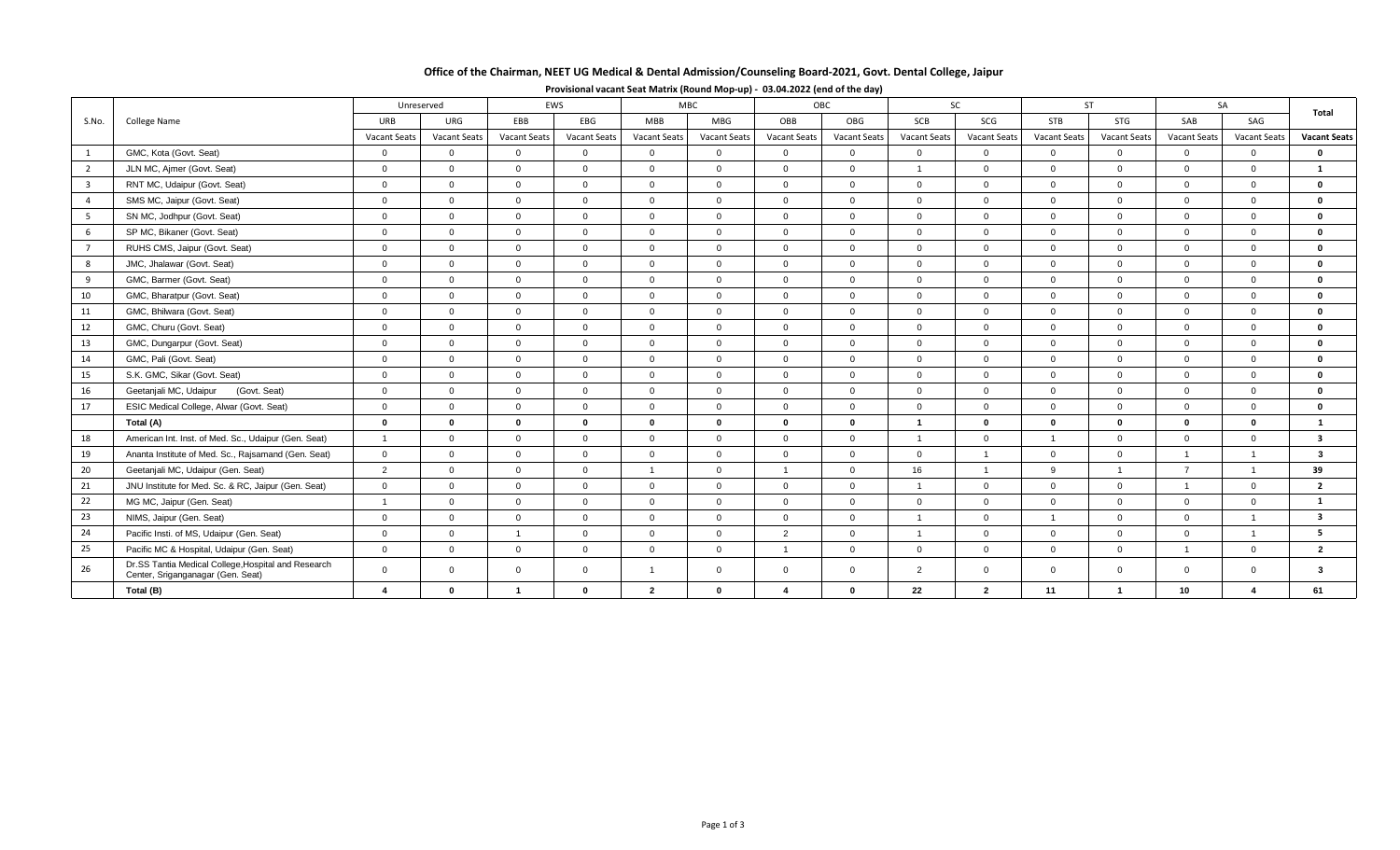# **Office of the Chairman, NEET UG Medical & Dental Admission/Counseling Board-2021, Govt. Dental College, Jaipur**

| S.No.                   | <b>College Name</b>                                                                      |                     | Unreserved          |                     | MBC.<br>EWS         |                     |                     | OBC                     |                     | <b>SC</b>           |                     | <b>ST</b>      |                         | <b>SA</b>           |                     |                         |
|-------------------------|------------------------------------------------------------------------------------------|---------------------|---------------------|---------------------|---------------------|---------------------|---------------------|-------------------------|---------------------|---------------------|---------------------|----------------|-------------------------|---------------------|---------------------|-------------------------|
|                         |                                                                                          | URB                 | URG                 | EBB                 | EBG                 | <b>MBB</b>          | MBG                 | OBB                     | OBG                 | SCB                 | SCG                 | <b>STB</b>     | STG                     | SAB                 | SAG                 | Total                   |
|                         |                                                                                          | <b>Vacant Seats</b> | <b>Vacant Seats</b> | <b>Vacant Seats</b> | <b>Vacant Seats</b> | <b>Vacant Seats</b> | <b>Vacant Seats</b> | <b>Vacant Seats</b>     | <b>Vacant Seats</b> | <b>Vacant Seats</b> | <b>Vacant Seats</b> | Vacant Seats   | <b>Vacant Seats</b>     | <b>Vacant Seats</b> | <b>Vacant Seats</b> | <b>Vacant Seats</b>     |
| 1                       | GMC, Kota (Govt. Seat)                                                                   | $\mathbf{0}$        | $\mathbf{0}$        | $\overline{0}$      | $\overline{0}$      | $\overline{0}$      | $\overline{0}$      | $\mathbf 0$             | $\overline{0}$      | $\overline{0}$      | $\mathbf 0$         | $\overline{0}$ | $\overline{0}$          | $\overline{0}$      | $\overline{0}$      | $\mathbf{0}$            |
| $\overline{2}$          | JLN MC, Ajmer (Govt. Seat)                                                               | $\Omega$            | $\Omega$            | $\Omega$            | $\Omega$            | $\Omega$            | $\Omega$            | $\Omega$                | $\Omega$            |                     | $\Omega$            | $\Omega$       | $\Omega$                | $\Omega$            | $\Omega$            | $\mathbf{1}$            |
| $\overline{\mathbf{3}}$ | RNT MC, Udaipur (Govt. Seat)                                                             | $\mathbf 0$         | $\overline{0}$      | $\Omega$            | $\overline{0}$      | $\overline{0}$      | $\Omega$            | $\mathbf{0}$            | $\Omega$            | $\overline{0}$      | $\mathbf{0}$        | $\overline{0}$ | $\overline{0}$          | $\Omega$            | $\mathbf{0}$        | $\Omega$                |
| $\overline{4}$          | SMS MC, Jaipur (Govt. Seat)                                                              | $\overline{0}$      | $\overline{0}$      | $\overline{0}$      | $\Omega$            | $\Omega$            | $\Omega$            | $\overline{0}$          | $\Omega$            | $\Omega$            | $\overline{0}$      | $\overline{0}$ | $\Omega$                | $\Omega$            | $\Omega$            | $\Omega$                |
| - 5                     | SN MC, Jodhpur (Govt. Seat)                                                              | $\overline{0}$      | $\Omega$            | $\Omega$            | $\Omega$            | $\Omega$            | $\Omega$            | $\Omega$                | $\Omega$            | $\Omega$            | $\Omega$            | $\Omega$       | $\Omega$                | $\Omega$            | $\Omega$            | $\Omega$                |
| 6                       | SP MC, Bikaner (Govt. Seat)                                                              | $\overline{0}$      | $\overline{0}$      | $\Omega$            | $\Omega$            | $\Omega$            | $\Omega$            | $\Omega$                | $\Omega$            | $\Omega$            | $\mathbf{0}$        | $\overline{0}$ | $\Omega$                | $\Omega$            | $\Omega$            | $\Omega$                |
| $\overline{7}$          | RUHS CMS, Jaipur (Govt. Seat)                                                            | $\overline{0}$      | $\overline{0}$      | $\Omega$            | $\Omega$            | $\Omega$            | $\Omega$            | $\Omega$                | $\Omega$            | $\Omega$            | $\Omega$            | $\overline{0}$ | $\Omega$                | $\Omega$            | $\Omega$            | $\mathbf{0}$            |
| 8                       | JMC, Jhalawar (Govt. Seat)                                                               | $\overline{0}$      | $\overline{0}$      | $\Omega$            | $\Omega$            | $\Omega$            | $\Omega$            | $\overline{0}$          | $\Omega$            | $\Omega$            | $\mathbf{0}$        | $\overline{0}$ | $\overline{0}$          | $\Omega$            | $\Omega$            | $\Omega$                |
| 9                       | GMC. Barmer (Govt. Seat)                                                                 | $\overline{0}$      | $\overline{0}$      | $\overline{0}$      | $\overline{0}$      | $\overline{0}$      | $\Omega$            | $\overline{0}$          | $\Omega$            | $\overline{0}$      | $\mathbf{0}$        | $\overline{0}$ | $\overline{0}$          | $\Omega$            | $\overline{0}$      | $\Omega$                |
| 10                      | GMC, Bharatpur (Govt. Seat)                                                              | $\overline{0}$      | $\Omega$            | $\Omega$            | $\Omega$            | $\Omega$            | $\Omega$            | $\Omega$                | $\Omega$            | $\Omega$            | $\Omega$            | $\Omega$       | $\Omega$                | $\Omega$            | $\Omega$            | $\mathbf{a}$            |
| 11                      | GMC, Bhilwara (Govt. Seat)                                                               | $\mathbf{0}$        | $\overline{0}$      | $\mathbf 0$         | $\mathbf{0}$        | $\Omega$            | $\Omega$            | $\overline{0}$          | $\Omega$            | $\Omega$            | $\mathbf{0}$        | $\overline{0}$ | $\overline{0}$          | $\Omega$            | $\mathbf{0}$        | $\Omega$                |
| 12                      | GMC, Churu (Govt. Seat)                                                                  | $\overline{0}$      | $\mathbf{0}$        | $\Omega$            | $\Omega$            | $\Omega$            | $\Omega$            | $\Omega$                | $\Omega$            | $\Omega$            | $\overline{0}$      | $\Omega$       | $\Omega$                | $\Omega$            | $\Omega$            | $\Omega$                |
| 13                      | GMC, Dungarpur (Govt. Seat)                                                              | $\overline{0}$      | $\Omega$            | $\Omega$            | $\Omega$            | $\Omega$            | $\Omega$            | $\mathbf 0$             | $\Omega$            | $\Omega$            | $\mathbf{0}$        | $\Omega$       | $\Omega$                | $\Omega$            | $\Omega$            | $\Omega$                |
| 14                      | GMC, Pali (Govt. Seat)                                                                   | $\overline{0}$      | $\overline{0}$      | $\overline{0}$      | $\overline{0}$      | $\Omega$            | $\Omega$            | $\Omega$                | $\Omega$            | $\overline{0}$      | $\mathbf{0}$        | $\overline{0}$ | $\overline{0}$          | $\Omega$            | $\Omega$            | $\Omega$                |
| 15                      | S.K. GMC, Sikar (Govt. Seat)                                                             | $\overline{0}$      | $\overline{0}$      | $\Omega$            | $\Omega$            | $\Omega$            | $\Omega$            | $\Omega$                | $\Omega$            | $\Omega$            | $\mathbf{0}$        | $\overline{0}$ | $\Omega$                | $\Omega$            | $\Omega$            | $\mathbf{0}$            |
| 16                      | Geetanjali MC, Udaipur<br>(Govt. Seat)                                                   | $\overline{0}$      | $\overline{0}$      | $\overline{0}$      | $\mathbf{0}$        | $\overline{0}$      | $\Omega$            | $\overline{0}$          | $\Omega$            | $\overline{0}$      | $\mathbf{0}$        | $\overline{0}$ | $\overline{0}$          | $\overline{0}$      | $\Omega$            | $\mathbf{0}$            |
| 17                      | ESIC Medical College, Alwar (Govt. Seat)                                                 | $\overline{0}$      | $\overline{0}$      | $\Omega$            | $\Omega$            | $\Omega$            | $\Omega$            | $\Omega$                | $\Omega$            | $\Omega$            | $\Omega$            | $\Omega$       | $\Omega$                | $\Omega$            | $\Omega$            | $\mathbf{0}$            |
|                         | Total (A)                                                                                | $\mathbf 0$         | $\mathbf{0}$        | $\bf{0}$            | $\mathbf 0$         | $\mathbf{0}$        | $\mathbf{0}$        | $\mathbf 0$             | $\Omega$            | -1                  | $\mathbf 0$         | $\mathbf 0$    | $\mathbf{0}$            | $\bf{0}$            | $\bf{0}$            |                         |
| 18                      | American Int. Inst. of Med. Sc., Udaipur (Gen. Seat)                                     | $\overline{1}$      | $\overline{0}$      | $\overline{0}$      | $\overline{0}$      | $\Omega$            | $\Omega$            | $\overline{0}$          | $\Omega$            | $\overline{1}$      | $\overline{0}$      | $\overline{1}$ | $\Omega$                | $\Omega$            | $\Omega$            | $\overline{\mathbf{3}}$ |
| 19                      | Ananta Institute of Med. Sc., Rajsamand (Gen. Seat)                                      | $\overline{0}$      | $\overline{0}$      | $\Omega$            | $\Omega$            | $\Omega$            | $\Omega$            | $\Omega$                | $\Omega$            | $\Omega$            | $\mathbf{1}$        | $\Omega$       | $\Omega$                | $\overline{1}$      |                     | $\mathbf{3}$            |
| 20                      | Geetanjali MC, Udaipur (Gen. Seat)                                                       | 2                   | $\overline{0}$      | $\Omega$            | $\Omega$            | $\overline{1}$      | $\Omega$            |                         | $\Omega$            | 16                  | $\mathbf{1}$        | 9              | $\overline{1}$          | $\overline{7}$      |                     | 39                      |
| 21                      | JNU Institute for Med. Sc. & RC, Jaipur (Gen. Seat)                                      | $\overline{0}$      | $\overline{0}$      | $\Omega$            | $\overline{0}$      | $\Omega$            | $\Omega$            | $\Omega$                | $\Omega$            |                     | $\overline{0}$      | $\overline{0}$ | $\Omega$                | $\overline{1}$      | $\Omega$            | $\overline{2}$          |
| 22                      | MG MC, Jaipur (Gen. Seat)                                                                | $\overline{1}$      | $\mathbf{0}$        | $\overline{0}$      | $\overline{0}$      | $\overline{0}$      | $\Omega$            | $\overline{0}$          | $\Omega$            | $\Omega$            | $\mathbf 0$         | $\overline{0}$ | $\overline{0}$          | $\overline{0}$      | $\overline{0}$      | 1                       |
| 23                      | NIMS, Jaipur (Gen. Seat)                                                                 | $\overline{0}$      | $\overline{0}$      | $\overline{0}$      | $\overline{0}$      | $\overline{0}$      | $\overline{0}$      | $\overline{0}$          | $\Omega$            |                     | $\mathbf{0}$        |                | $\overline{0}$          | $\Omega$            | $\mathbf{1}$        | $\overline{\mathbf{3}}$ |
| 24                      | Pacific Insti. of MS, Udaipur (Gen. Seat)                                                | $\overline{0}$      | $\overline{0}$      |                     | $\overline{0}$      | $\overline{0}$      | $\Omega$            | $\overline{2}$          | $\Omega$            | $\overline{1}$      | $\mathbf{0}$        | $\overline{0}$ | $\overline{0}$          | $\overline{0}$      |                     | 5.                      |
| 25                      | Pacific MC & Hospital, Udaipur (Gen. Seat)                                               | $\overline{0}$      | $\overline{0}$      | $\overline{0}$      | $\overline{0}$      | $\mathbf{0}$        | $\Omega$            |                         | $\Omega$            | $\mathbf 0$         | $\mathbf{0}$        | $\overline{0}$ | $\mathbf{0}$            | $\overline{1}$      | $\overline{0}$      | $\overline{2}$          |
| 26                      | Dr.SS Tantia Medical College, Hospital and Research<br>Center, Sriganganagar (Gen. Seat) | $\overline{0}$      | $\mathbf{0}$        | $\Omega$            | $\mathbf{0}$        | $\mathbf{1}$        | $\overline{0}$      | $\overline{0}$          | $\Omega$            | $\overline{2}$      | $\mathbf{0}$        | $\overline{0}$ | $\Omega$                | $\Omega$            | $\Omega$            | 3                       |
|                         | Total (B)                                                                                | 4                   | $\bf{0}$            |                     | 0                   | $\overline{2}$      | $\mathbf{0}$        | $\overline{\mathbf{A}}$ | $\Omega$            | 22                  | $\overline{2}$      | 11             | $\overline{\mathbf{1}}$ | 10 <sup>1</sup>     |                     | 61                      |

## **Provisional vacant Seat Matrix (Round Mop-up) - 03.04.2022 (end of the day)**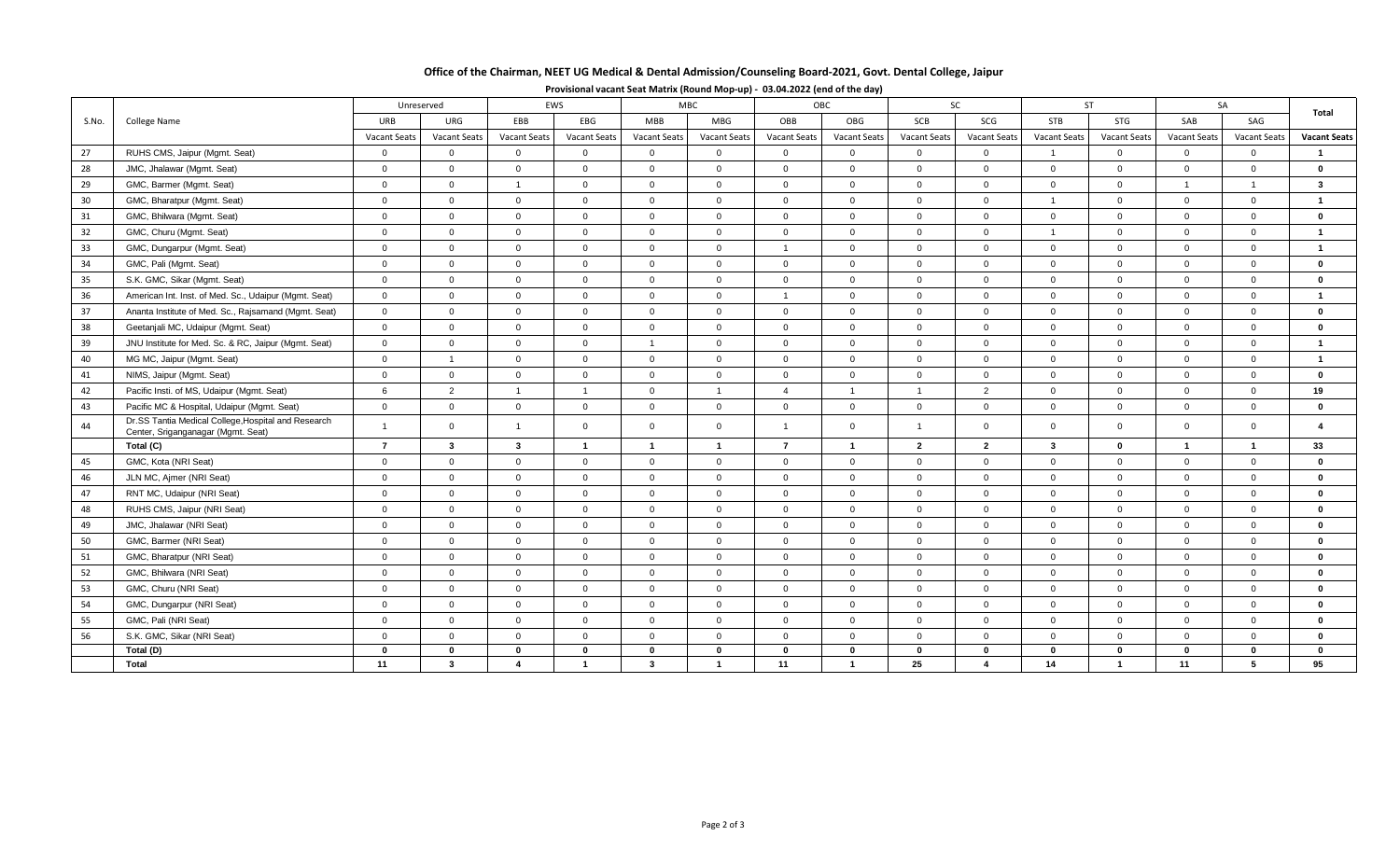# **Office of the Chairman, NEET UG Medical & Dental Admission/Counseling Board-2021, Govt. Dental College, Jaipur**

| S.No. | College Name                                                                              | EWS<br>Unreserved |                |                | <b>MBC</b>              |                     | OBC                 |                | SC                  |                | <b>ST</b>      |                | SA                  |                         |                     |                         |
|-------|-------------------------------------------------------------------------------------------|-------------------|----------------|----------------|-------------------------|---------------------|---------------------|----------------|---------------------|----------------|----------------|----------------|---------------------|-------------------------|---------------------|-------------------------|
|       |                                                                                           | URB               | <b>URG</b>     | <b>EBB</b>     | EBG                     | MBB                 | MBG                 | OBB            | OBG                 | SCB            | SCG            | STB            | STG                 | SAB                     | SAG                 | Total                   |
|       |                                                                                           | Vacant Seats      | Vacant Seats   | Vacant Seats   | Vacant Seats            | <b>Vacant Seats</b> | <b>Vacant Seats</b> | Vacant Seats   | <b>Vacant Seats</b> | Vacant Seats   | Vacant Seats   | Vacant Seats   | <b>Vacant Seats</b> | <b>Vacant Seats</b>     | <b>Vacant Seats</b> | <b>Vacant Seats</b>     |
| 27    | RUHS CMS, Jaipur (Mgmt. Seat)                                                             | $\overline{0}$    | $\overline{0}$ | $\mathbf{0}$   | $\mathbf{0}$            | $\overline{0}$      | $\overline{0}$      | $\mathbf{0}$   | $\mathbf{0}$        | $\overline{0}$ | $\overline{0}$ | $\overline{1}$ | $\mathbf{0}$        | $\Omega$                | $\Omega$            |                         |
| 28    | JMC, Jhalawar (Mgmt. Seat)                                                                | $\Omega$          | $\Omega$       | $\Omega$       | $\mathbf{0}$            | $\Omega$            | $\overline{0}$      | $\mathbf{0}$   | $\mathbf{0}$        | $\overline{0}$ | $\overline{0}$ | $\Omega$       | $\Omega$            | $\Omega$                | $\Omega$            | $\Omega$                |
| 29    | GMC, Barmer (Mgmt. Seat)                                                                  | $\overline{0}$    | $\mathbf 0$    | $\overline{1}$ | $\mathbf 0$             | $\overline{0}$      | $\overline{0}$      | $\mathbf 0$    | $\mathbf 0$         | $\overline{0}$ | $\overline{0}$ | $\overline{0}$ | $\mathbf{0}$        | $\overline{1}$          | $\overline{1}$      | $\mathbf{3}$            |
| 30    | GMC, Bharatpur (Mgmt. Seat)                                                               | $\overline{0}$    | $\overline{0}$ | $\mathbf 0$    | $\mathbf 0$             | $\mathbf{0}$        | $\overline{0}$      | $\mathbf 0$    | $\mathbf{0}$        | $\overline{0}$ | $\overline{0}$ | $\overline{1}$ | $\mathbf 0$         | $\overline{0}$          | $\Omega$            | $\overline{\mathbf{1}}$ |
| 31    | GMC, Bhilwara (Mgmt. Seat)                                                                | $\overline{0}$    | $\overline{0}$ | $\Omega$       | $\mathbf{0}$            | $\overline{0}$      | $\overline{0}$      | $\mathbf{0}$   | $\mathbf{0}$        | $\overline{0}$ | $\overline{0}$ | $\overline{0}$ | $\Omega$            | $\Omega$                | $\Omega$            | $\bf{0}$                |
| 32    | GMC, Churu (Mgmt. Seat)                                                                   | $\overline{0}$    | $\overline{0}$ | $\mathbf 0$    | $\mathbf 0$             | $\overline{0}$      | $\overline{0}$      | $\mathbf 0$    | $\mathbf{0}$        | $\overline{0}$ | $\overline{0}$ | $\overline{1}$ | $\overline{0}$      | $\overline{0}$          | $\overline{0}$      | $\overline{\mathbf{1}}$ |
| 33    | GMC, Dungarpur (Mgmt. Seat)                                                               | $\overline{0}$    | $\overline{0}$ | $\overline{0}$ | $\mathbf{0}$            | $\overline{0}$      | $\overline{0}$      | $\overline{1}$ | $\mathbf{0}$        | $\overline{0}$ | $\overline{0}$ | $\overline{0}$ | $\overline{0}$      | $\overline{0}$          | $\overline{0}$      | $\overline{1}$          |
| 34    | GMC, Pali (Mgmt. Seat)                                                                    | $\overline{0}$    | $\overline{0}$ | $\mathbf 0$    | $\mathbf 0$             | $\overline{0}$      | $\overline{0}$      | $\mathbf 0$    | $\mathbf{0}$        | $\overline{0}$ | $\overline{0}$ | $\overline{0}$ | $\mathbf 0$         | $\overline{0}$          | $\mathbf{0}$        | $\bf{0}$                |
| 35    | S.K. GMC, Sikar (Mgmt. Seat)                                                              | $\Omega$          | $\Omega$       | $\Omega$       | $\Omega$                | $\Omega$            | $\Omega$            | $\overline{0}$ | $\Omega$            | $\overline{0}$ | $\overline{0}$ | $\Omega$       | $\Omega$            | $\Omega$                | $\Omega$            | $\bf{0}$                |
| 36    | American Int. Inst. of Med. Sc., Udaipur (Mgmt. Seat)                                     | $\overline{0}$    | $\overline{0}$ | $\mathbf{0}$   | $\mathbf{0}$            | $\mathbf{0}$        | $\overline{0}$      | $\overline{1}$ | $\mathbf{0}$        | $\overline{0}$ | $\overline{0}$ | $\overline{0}$ | $\overline{0}$      | $\overline{0}$          | $\Omega$            |                         |
| 37    | Ananta Institute of Med. Sc., Rajsamand (Mgmt. Seat)                                      | $\overline{0}$    | $\overline{0}$ | $\Omega$       | $\mathbf 0$             | $\mathbf{0}$        | $\overline{0}$      | $\mathbf{0}$   | $\mathbf{0}$        | $\overline{0}$ | $\overline{0}$ | $\overline{0}$ | $\overline{0}$      | $\overline{0}$          | $\Omega$            | $\mathbf{0}$            |
| 38    | Geetanjali MC, Udaipur (Mgmt. Seat)                                                       | $\Omega$          | $\overline{0}$ | $\Omega$       | $\mathbf{0}$            | $\Omega$            | $\overline{0}$      | $\overline{0}$ | $\mathbf{0}$        | $\overline{0}$ | $\overline{0}$ | $\overline{0}$ | $\Omega$            | $\Omega$                | $\Omega$            | $\bf{0}$                |
| 39    | JNU Institute for Med. Sc. & RC, Jaipur (Mgmt. Seat)                                      | $\overline{0}$    | $\mathbf 0$    | $\mathbf{0}$   | $\mathbf 0$             | $\overline{1}$      | $\overline{0}$      | $\mathbf 0$    | $\mathbf 0$         | $\overline{0}$ | $\overline{0}$ | $\mathbf 0$    | $\overline{0}$      | $\mathbf{0}$            | $\overline{0}$      | $\overline{\mathbf{1}}$ |
| 40    | MG MC, Jaipur (Mgmt. Seat)                                                                | $\overline{0}$    | $\overline{1}$ | $\overline{0}$ | $\mathbf{0}$            | $\overline{0}$      | $\overline{0}$      | $\mathbf 0$    | $\mathbf{0}$        | $\overline{0}$ | $\overline{0}$ | $\overline{0}$ | $\overline{0}$      | $\overline{0}$          | $\overline{0}$      | $\overline{\mathbf{1}}$ |
| 41    | NIMS, Jaipur (Mgmt. Seat)                                                                 | $\overline{0}$    | $\overline{0}$ | $\Omega$       | $\mathbf 0$             | $\overline{0}$      | $\overline{0}$      | $\mathbf 0$    | $\mathbf{0}$        | $\overline{0}$ | $\overline{0}$ | $\overline{0}$ | $\mathbf 0$         | $\overline{0}$          | $\Omega$            | $\bf{0}$                |
| 42    | Pacific Insti. of MS, Udaipur (Mgmt. Seat)                                                | 6                 | 2              | $\overline{1}$ | $\overline{1}$          | $\overline{0}$      | $\overline{1}$      | $\overline{4}$ | $\overline{1}$      | $\overline{1}$ | 2              | $\overline{0}$ | $\overline{0}$      | $\overline{0}$          | $\mathbf{0}$        | 19                      |
| 43    | Pacific MC & Hospital, Udaipur (Mgmt. Seat)                                               | $\overline{0}$    | $\mathbf 0$    | $\mathbf 0$    | $\mathbf{0}$            | $\mathbf{0}$        | $\overline{0}$      | $\mathsf 0$    | $\mathbf 0$         | $\overline{0}$ | $\overline{0}$ | $\overline{0}$ | $\overline{0}$      | $\overline{0}$          | $\mathbf{0}$        | $\mathbf 0$             |
| 44    | Dr.SS Tantia Medical College, Hospital and Research<br>Center, Sriganganagar (Mgmt. Seat) | $\overline{1}$    | $\overline{0}$ | $\overline{1}$ | $\mathbf{0}$            | $\mathbf{0}$        | $\overline{0}$      | $\overline{1}$ | $\mathbf{0}$        | $\mathbf{1}$   | $\overline{0}$ | $\overline{0}$ | $\Omega$            | $\Omega$                | $\Omega$            | 4                       |
|       | Total (C)                                                                                 | $\overline{7}$    | $\mathbf{3}$   | $\mathbf{3}$   | $\overline{\mathbf{1}}$ | $\overline{1}$      | $\overline{1}$      | $\overline{7}$ | $\mathbf{1}$        | $\mathbf{2}$   | $\overline{2}$ | $\mathbf{3}$   | $\bf{0}$            | $\overline{\mathbf{1}}$ | -1                  | 33                      |
| 45    | GMC, Kota (NRI Seat)                                                                      | $\overline{0}$    | $\overline{0}$ | $\Omega$       | $\mathbf{0}$            | $\overline{0}$      | $\overline{0}$      | $\mathbf{0}$   | $\mathbf{0}$        | $\overline{0}$ | $\overline{0}$ | $\overline{0}$ | $\Omega$            | $\overline{0}$          | $\Omega$            | $\mathbf{0}$            |
| 46    | JLN MC, Ajmer (NRI Seat)                                                                  | $\overline{0}$    | $\overline{0}$ | $\overline{0}$ | $\mathbf{0}$            | $\overline{0}$      | $\overline{0}$      | $\mathbf 0$    | $\mathbf{0}$        | $\overline{0}$ | $\overline{0}$ | $\overline{0}$ | $\overline{0}$      | $\overline{0}$          | $\overline{0}$      | $\mathbf 0$             |
| 47    | RNT MC, Udaipur (NRI Seat)                                                                | $\overline{0}$    | $\overline{0}$ | $\Omega$       | $\mathbf{0}$            | $\mathbf{0}$        | $\overline{0}$      | $\mathbf{0}$   | $\mathbf{0}$        | $\overline{0}$ | $\overline{0}$ | $\overline{0}$ | $\Omega$            | $\overline{0}$          | $\Omega$            | $\mathbf{0}$            |
| 48    | RUHS CMS, Jaipur (NRI Seat)                                                               | $\Omega$          | $\overline{0}$ | $\overline{0}$ | $\mathbf{0}$            | $\overline{0}$      | $\overline{0}$      | $\mathbf{0}$   | $\mathbf{0}$        | $\overline{0}$ | $\overline{0}$ | $\overline{0}$ | $\Omega$            | $\Omega$                | $\Omega$            | $\mathbf{0}$            |
| 49    | JMC, Jhalawar (NRI Seat)                                                                  | $\overline{0}$    | $\overline{0}$ | $\mathbf{0}$   | $\mathbf{0}$            | $\mathbf{0}$        | $\overline{0}$      | $\mathbf{0}$   | $\mathbf{0}$        | $\overline{0}$ | $\overline{0}$ | $\overline{0}$ | $\overline{0}$      | $\overline{0}$          | $\mathbf{0}$        | $\mathbf 0$             |
| 50    | GMC, Barmer (NRI Seat)                                                                    | $\overline{0}$    | $\overline{0}$ | $\Omega$       | $\mathbf{0}$            | $\overline{0}$      | $\overline{0}$      | $\overline{0}$ | $\mathbf 0$         | $\overline{0}$ | $\overline{0}$ | $\overline{0}$ | $\overline{0}$      | $\overline{0}$          | $\Omega$            | $\mathbf{0}$            |
| 51    | GMC, Bharatpur (NRI Seat)                                                                 | $\overline{0}$    | $\overline{0}$ | $\Omega$       | $\mathbf{0}$            | $\overline{0}$      | $\overline{0}$      | $\overline{0}$ | $\mathbf 0$         | $\overline{0}$ | $\overline{0}$ | $\overline{0}$ | $\overline{0}$      | $\overline{0}$          | $\Omega$            | $\mathbf{0}$            |
| 52    | GMC, Bhilwara (NRI Seat)                                                                  | $\overline{0}$    | $\overline{0}$ | $\Omega$       | $\mathbf{0}$            | $\overline{0}$      | $\overline{0}$      | $\overline{0}$ | $\mathbf{0}$        | $\overline{0}$ | $\overline{0}$ | $\overline{0}$ | $\overline{0}$      | $\overline{0}$          | $\overline{0}$      | $\mathbf 0$             |
| 53    | GMC, Churu (NRI Seat)                                                                     | $\overline{0}$    | $\mathbf 0$    | $\overline{0}$ | $\mathbf{0}$            | $\mathbf 0$         | $\overline{0}$      | $\mathbf 0$    | $\mathbf 0$         | $\overline{0}$ | $\overline{0}$ | $\overline{0}$ | $\overline{0}$      | $\overline{0}$          | $\overline{0}$      | $\mathbf 0$             |
| 54    | GMC, Dungarpur (NRI Seat)                                                                 | $\overline{0}$    | $\overline{0}$ | $\mathbf{0}$   | $\mathbf{0}$            | $\overline{0}$      | $\overline{0}$      | $\mathbf{0}$   | $\mathbf{0}$        | $\overline{0}$ | $\overline{0}$ | $\overline{0}$ | $\mathbf 0$         | $\overline{0}$          | $\mathbf{0}$        | $\bf{0}$                |
| 55    | GMC, Pali (NRI Seat)                                                                      | $\overline{0}$    | $\overline{0}$ | $\mathbf{0}$   | $\overline{0}$          | $\mathbf{0}$        | $\overline{0}$      | $\mathbf{0}$   | $\mathbf{0}$        | $\overline{0}$ | $\overline{0}$ | $\overline{0}$ | $\overline{0}$      | $\overline{0}$          | $\Omega$            | $\bf{0}$                |
| 56    | S.K. GMC, Sikar (NRI Seat)                                                                | $\overline{0}$    | $\mathbf 0$    | $\mathbf{0}$   | $\mathbf 0$             | $\mathbf 0$         | $\overline{0}$      | $\mathbf 0$    | $\mathbf 0$         | $\overline{0}$ | $\overline{0}$ | $\overline{0}$ | $\overline{0}$      | $\overline{0}$          | $\mathbf{0}$        | $\mathbf 0$             |
|       | Total (D)                                                                                 | $\mathbf{0}$      | $\mathbf{0}$   | $\bf{0}$       | $\mathbf{0}$            | $\mathbf{0}$        | $\mathbf{0}$        | $\mathbf{0}$   | $\mathbf{0}$        | $\mathbf{0}$   | $\mathbf 0$    | $\mathbf{0}$   | $\bf{0}$            | $\Omega$                | $\Omega$            | $\Omega$                |
|       | Total                                                                                     | 11                | $\mathbf{3}$   | $\mathbf{A}$   | $\overline{\mathbf{1}}$ | 3                   | $\overline{1}$      | 11             | $\mathbf{1}$        | 25             | $\overline{a}$ | 14             | $\overline{1}$      | 11                      | 5                   | 95                      |

**Provisional vacant Seat Matrix (Round Mop-up) - 03.04.2022 (end of the day)**